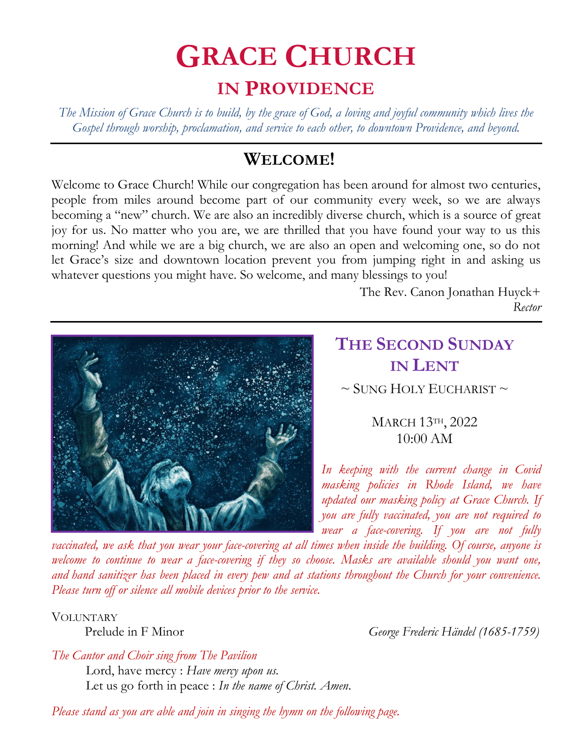# **GRACE CHURCH IN PROVIDENCE**

*The Mission of Grace Church is to build, by the grace of God, a loving and joyful community which lives the Gospel through worship, proclamation, and service to each other, to downtown Providence, and beyond.*

## **WELCOME!**

Welcome to Grace Church! While our congregation has been around for almost two centuries, people from miles around become part of our community every week, so we are always becoming a "new" church. We are also an incredibly diverse church, which is a source of great joy for us. No matter who you are, we are thrilled that you have found your way to us this morning! And while we are a big church, we are also an open and welcoming one, so do not let Grace's size and downtown location prevent you from jumping right in and asking us whatever questions you might have. So welcome, and many blessings to you!

> The Rev. Canon Jonathan Huyck+ *Rector*



## **THE SECOND SUNDAY IN LENT**

 $\sim$  SUNG HOLY EUCHARIST  $\sim$ 

MARCH 13TH, 2022 10:00 AM

*In keeping with the current change in Covid masking policies in Rhode Island, we have updated our masking policy at Grace Church. If you are fully vaccinated, you are not required to wear a face-covering. If you are not fully*

vaccinated, we ask that you wear your face-covering at all times when inside the building. Of course, anyone is welcome to continue to wear a face-covering if they so choose. Masks are available should you want one, and hand sanitizer has been placed in every pew and at stations throughout the Church for your convenience. *Please turn off or silence all mobile devices prior to the service.*

#### **VOLUNTARY**

Prelude in F Minor *George Frederic Händel (1685-1759)*

*The Cantor and Choir sing from The Pavilion*

Lord, have mercy : *Have mercy upon us.* Let us go forth in peace : *In the name of Christ. Amen*.

*Please stand as you are able and join in singing the hymn on the following page.*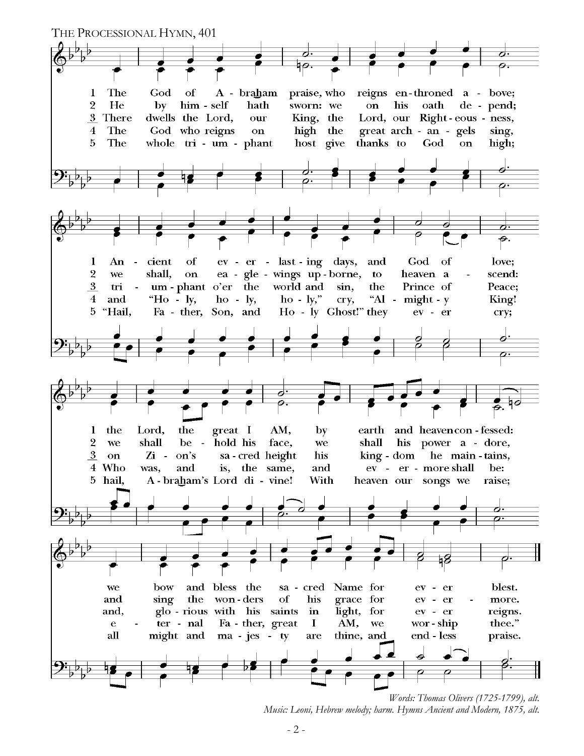

*Words: Thomas Olivers (1725-1799), alt. Music: Leoni, Hebrew melody; harm. Hymns Ancient and Modern, 1875, alt.*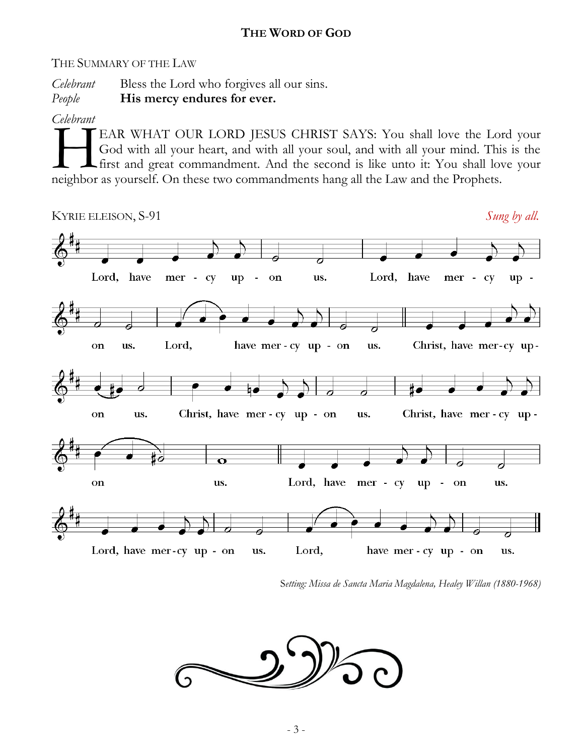## **THE WORD OF GOD**

THE SUMMARY OF THE LAW

*Celebrant* Bless the Lord who forgives all our sins. *People* **His mercy endures for ever.**

*Celebrant*

EAR WHAT OUR LORD JESUS CHRIST SAYS: You shall love the Lord your God with all your heart, and with all your soul, and with all your mind. This is the first and great commandment. And the second is like unto it: You shall love your EAR WHAT OUR LORD JESUS CHRIST SAYS: You shall love the Log God with all your heart, and with all your soul, and with all your mind. This first and great commandment. And the second is like unto it: You shall log neighbor

KYRIE ELEISON, S-91 *Sung by all.* 





S*etting: Missa de Sancta Maria Magdalena, Healey Willan (1880-1968)*

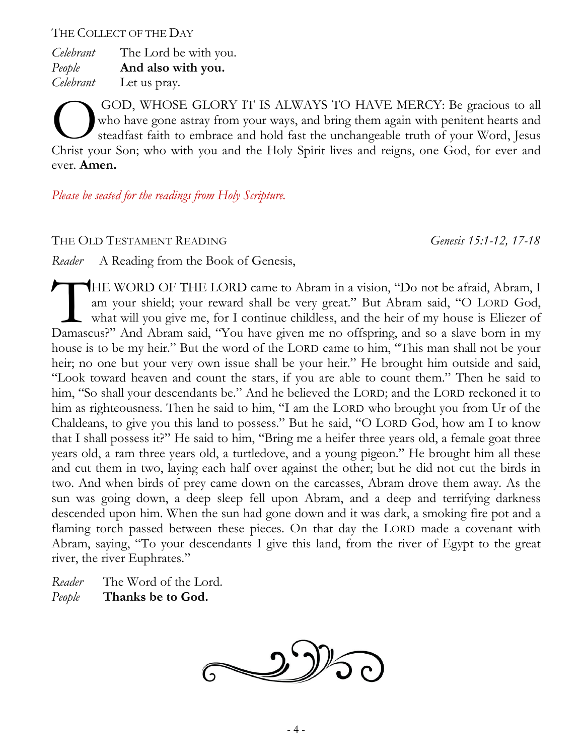#### THE COLLECT OF THE DAY

*Celebrant* The Lord be with you. *People* **And also with you.** *Celebrant* Let us pray.

GOD, WHOSE GLORY IT IS ALWAYS TO HAVE MERCY: Be gracious to all who have gone astray from your ways, and bring them again with penitent hearts and steadfast faith to embrace and hold fast the unchangeable truth of your Word, Jesus GOD, WHOSE GLORY IT IS ALWAYS TO HAVE MERCY: Be gracious to all who have gone astray from your ways, and bring them again with penitent hearts and steadfast faith to embrace and hold fast the unchangeable truth of your Wor ever. **Amen.**

*Please be seated for the readings from Holy Scripture.*

#### THE OLD TESTAMENT READING *Genesis 15:1-12, 17-18*

*Reader* A Reading from the Book of Genesis,

HE WORD OF THE LORD came to Abram in a vision, "Do not be afraid, Abram, I am your shield; your reward shall be very great." But Abram said, "O LORD God, what will you give me, for I continue childless, and the heir of my house is Eliezer of THE WORD OF THE LORD came to Abram in a vision, "Do not be afraid, Abram, I am your shield; your reward shall be very great." But Abram said, "O LORD God, what will you give me, for I continue childless, and the heir of my house is to be my heir." But the word of the LORD came to him, "This man shall not be your heir; no one but your very own issue shall be your heir." He brought him outside and said, "Look toward heaven and count the stars, if you are able to count them." Then he said to him, "So shall your descendants be." And he believed the LORD; and the LORD reckoned it to him as righteousness. Then he said to him, "I am the LORD who brought you from Ur of the Chaldeans, to give you this land to possess." But he said, "O LORD God, how am I to know that I shall possess it?" He said to him, "Bring me a heifer three years old, a female goat three years old, a ram three years old, a turtledove, and a young pigeon." He brought him all these and cut them in two, laying each half over against the other; but he did not cut the birds in two. And when birds of prey came down on the carcasses, Abram drove them away. As the sun was going down, a deep sleep fell upon Abram, and a deep and terrifying darkness descended upon him. When the sun had gone down and it was dark, a smoking fire pot and a flaming torch passed between these pieces. On that day the LORD made a covenant with Abram, saying, "To your descendants I give this land, from the river of Egypt to the great river, the river Euphrates."

*Reader* The Word of the Lord. *People* **Thanks be to God.**

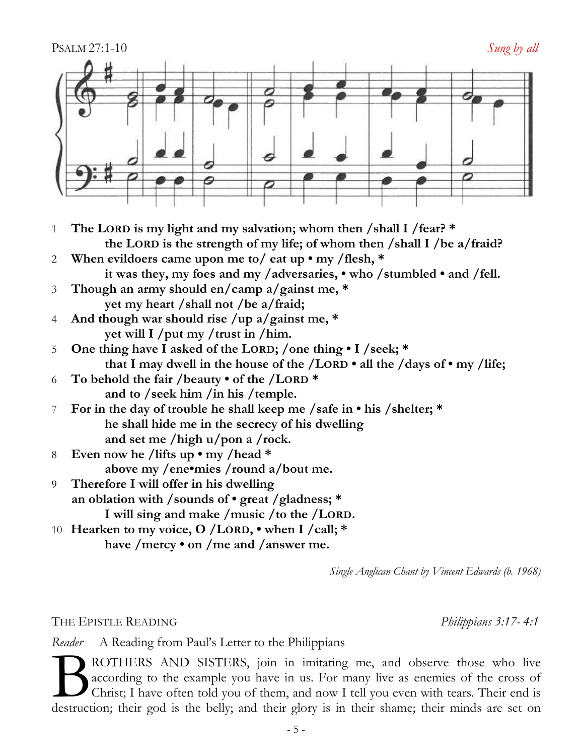PSALM 27:1-10 *Sung by all*



10 **Hearken to my voice, O /LORD, • when I /call; \* have /mercy • on /me and /answer me.**

*Single Anglican Chant by Vincent Edwards (b. 1968)*

## THE EPISTLE READING *Philippians 3:17- 4:1*

*Reader* A Reading from Paul's Letter to the Philippians

ROTHERS AND SISTERS, join in imitating me, and observe those who live according to the example you have in us. For many live as enemies of the cross of Christ; I have often told you of them, and now I tell you even with tears. Their end is ROTHERS AND SISTERS, join in imitating me, and observe those who live according to the example you have in us. For many live as enemies of the cross of Christ; I have often told you of them, and now I tell you even with te

- 5 -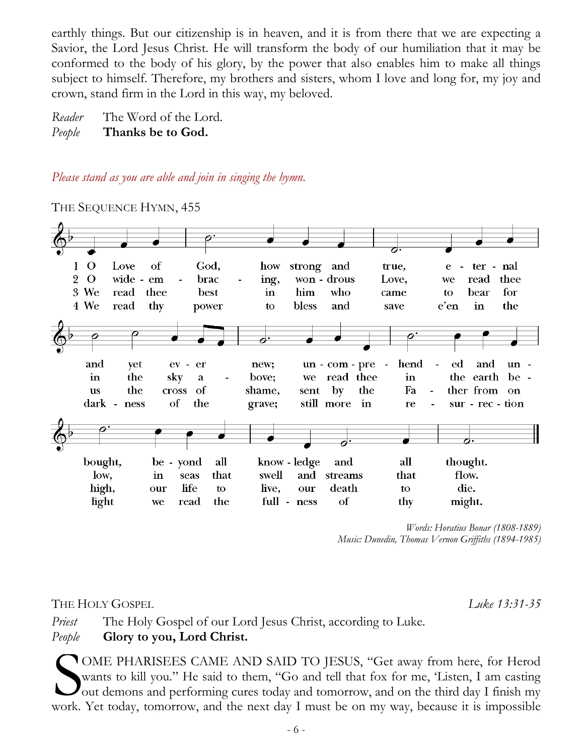earthly things. But our citizenship is in heaven, and it is from there that we are expecting a Savior, the Lord Jesus Christ. He will transform the body of our humiliation that it may be conformed to the body of his glory, by the power that also enables him to make all things subject to himself. Therefore, my brothers and sisters, whom I love and long for, my joy and crown, stand firm in the Lord in this way, my beloved.

*Reader* The Word of the Lord. *People* **Thanks be to God.**

*Please stand as you are able and join in singing the hymn.*

|          |                                                                                       |                                                      | o.                                              |                                   |                                           |                                                                                     |                                  |                                                                                                                            |                    |
|----------|---------------------------------------------------------------------------------------|------------------------------------------------------|-------------------------------------------------|-----------------------------------|-------------------------------------------|-------------------------------------------------------------------------------------|----------------------------------|----------------------------------------------------------------------------------------------------------------------------|--------------------|
|          |                                                                                       |                                                      |                                                 |                                   |                                           |                                                                                     | o.                               |                                                                                                                            |                    |
| $\bf{l}$ | $\mathbf O$<br>Love<br>$2\degree$ O<br>wide - em<br>3 We<br>read thee<br>4 We<br>read | of<br>$\blacksquare$<br>thy                          | God,<br>brac<br>$\blacksquare$<br>best<br>power | how<br>ing,<br>in.<br>to          | strong and<br>won - drous<br>him<br>bless | who<br>and                                                                          | true,<br>Love,<br>came<br>save   | - ter - nal<br>e<br>read<br>we<br>bear<br>to<br>e'en<br>in                                                                 | thee<br>for<br>the |
|          |                                                                                       |                                                      |                                                 | $\dot{\boldsymbol{\sigma}}$       |                                           |                                                                                     | o:                               |                                                                                                                            |                    |
|          | and<br>yet<br>in<br>the<br>the<br><b>us</b><br>dark - ness                            | $ev - er$<br>sky<br><b>cross</b><br>$\sigma f$       | a<br>$\blacksquare$<br>of<br>the                | new;<br>bove;<br>shame,<br>grave; | we<br>sent                                | un - com - pre<br>read thee<br>the<br>$\mathbf{b}$ y<br>still more<br>$\mathbf{in}$ | hend<br>$\Box$<br>in<br>Fa<br>re | $\sim$ $-$<br>ed<br>and<br>the earth be -<br>ther from on<br>$\frac{1}{2}$<br>sur - rec - tion<br>$\overline{\phantom{0}}$ | $un -$             |
|          | P.                                                                                    |                                                      |                                                 |                                   |                                           |                                                                                     |                                  |                                                                                                                            |                    |
|          |                                                                                       |                                                      |                                                 |                                   |                                           |                                                                                     |                                  | $\sigma \cdot$                                                                                                             |                    |
|          | bought,<br>low,<br>high,<br>light                                                     | be - yond<br>in<br>seas<br>life<br>our<br>read<br>we | all<br>that<br>to<br>the                        | swell<br>live,                    | know - ledge<br>and<br>our<br>full - ness | and<br>streams<br>death<br>of                                                       | all<br>that<br>to<br>thy         | thought.<br>flow.<br>die.<br>might.                                                                                        |                    |

THE SEQUENCE HYMN, 455

*Words: Horatius Bonar (1808-1889) Music: Dunedin, Thomas Vernon Griffiths (1894-1985)*

#### THE HOLY GOSPEL **Luke** 13:31-35

*Priest* The Holy Gospel of our Lord Jesus Christ, according to Luke. *People* **Glory to you, Lord Christ.**

OME PHARISEES CAME AND SAID TO JESUS, "Get away from here, for Herod wants to kill you." He said to them, "Go and tell that fox for me, 'Listen, I am casting Jout demons and performing cures today and tomorrow, and on the third day I finish my work. Yet today, tomorrow, and the next day I must be on my way, because it is impossible S<sub>ivork</sub>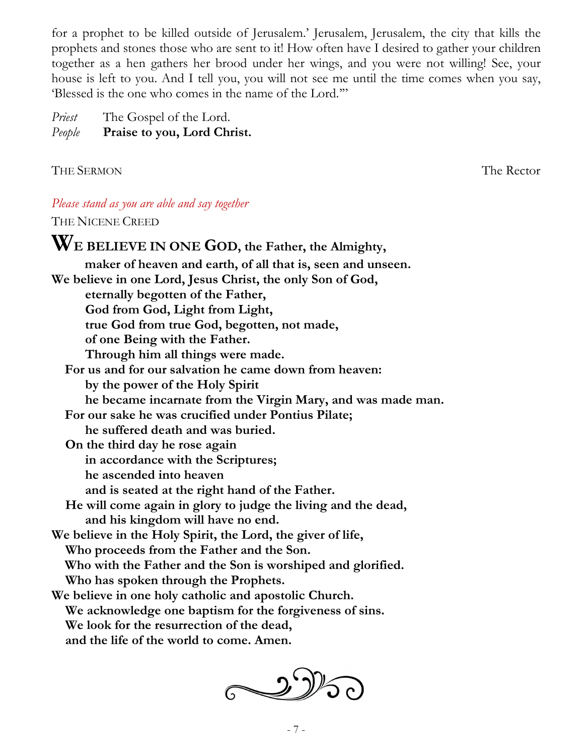for a prophet to be killed outside of Jerusalem.' Jerusalem, Jerusalem, the city that kills the prophets and stones those who are sent to it! How often have I desired to gather your children together as a hen gathers her brood under her wings, and you were not willing! See, your house is left to you. And I tell you, you will not see me until the time comes when you say, 'Blessed is the one who comes in the name of the Lord.'"

*Priest* The Gospel of the Lord. *People* **Praise to you, Lord Christ.**

THE SERMON The Rector

#### *Please stand as you are able and say together*

THE NICENE CREED

**WE BELIEVE IN ONE GOD, the Father, the Almighty, maker of heaven and earth, of all that is, seen and unseen. We believe in one Lord, Jesus Christ, the only Son of God, eternally begotten of the Father, God from God, Light from Light, true God from true God, begotten, not made, of one Being with the Father. Through him all things were made. For us and for our salvation he came down from heaven: by the power of the Holy Spirit he became incarnate from the Virgin Mary, and was made man. For our sake he was crucified under Pontius Pilate; he suffered death and was buried. On the third day he rose again in accordance with the Scriptures; he ascended into heaven and is seated at the right hand of the Father. He will come again in glory to judge the living and the dead, and his kingdom will have no end. We believe in the Holy Spirit, the Lord, the giver of life, Who proceeds from the Father and the Son. Who with the Father and the Son is worshiped and glorified. Who has spoken through the Prophets. We believe in one holy catholic and apostolic Church. We acknowledge one baptism for the forgiveness of sins. We look for the resurrection of the dead, and the life of the world to come. Amen.**

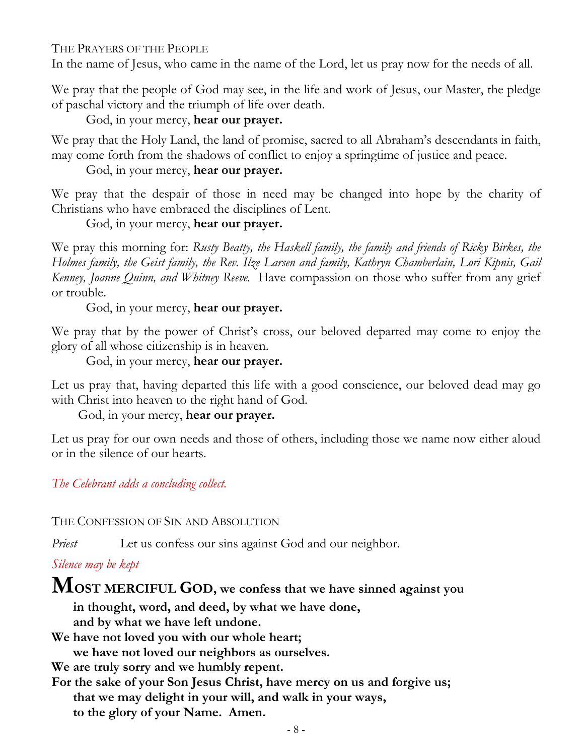#### THE PRAYERS OF THE PEOPLE

In the name of Jesus, who came in the name of the Lord, let us pray now for the needs of all.

We pray that the people of God may see, in the life and work of Jesus, our Master, the pledge of paschal victory and the triumph of life over death.

God, in your mercy, **hear our prayer.**

We pray that the Holy Land, the land of promise, sacred to all Abraham's descendants in faith, may come forth from the shadows of conflict to enjoy a springtime of justice and peace.

God, in your mercy, **hear our prayer.**

We pray that the despair of those in need may be changed into hope by the charity of Christians who have embraced the disciplines of Lent.

God, in your mercy, **hear our prayer.**

We pray this morning for: *Rusty Beatty, the Haskell family, the family and friends of Ricky Birkes, the Holmes family, the Geist family, the Rev. Ilze Larsen and family, Kathryn Chamberlain, Lori Kipnis, Gail Kenney, Joanne Quinn, and Whitney Reeve.* Have compassion on those who suffer from any grief or trouble.

God, in your mercy, **hear our prayer.**

We pray that by the power of Christ's cross, our beloved departed may come to enjoy the glory of all whose citizenship is in heaven.

God, in your mercy, **hear our prayer.**

Let us pray that, having departed this life with a good conscience, our beloved dead may go with Christ into heaven to the right hand of God.

God, in your mercy, **hear our prayer.**

Let us pray for our own needs and those of others, including those we name now either aloud or in the silence of our hearts.

*The Celebrant adds a concluding collect.*

THE CONFESSION OF SIN AND ABSOLUTION

*Priest* Let us confess our sins against God and our neighbor.

## *Silence may be kept*

**MOST MERCIFUL GOD, we confess that we have sinned against you** 

**in thought, word, and deed, by what we have done,** 

**and by what we have left undone.** 

**We have not loved you with our whole heart;** 

**we have not loved our neighbors as ourselves.** 

**We are truly sorry and we humbly repent.** 

**For the sake of your Son Jesus Christ, have mercy on us and forgive us; that we may delight in your will, and walk in your ways, to the glory of your Name. Amen.**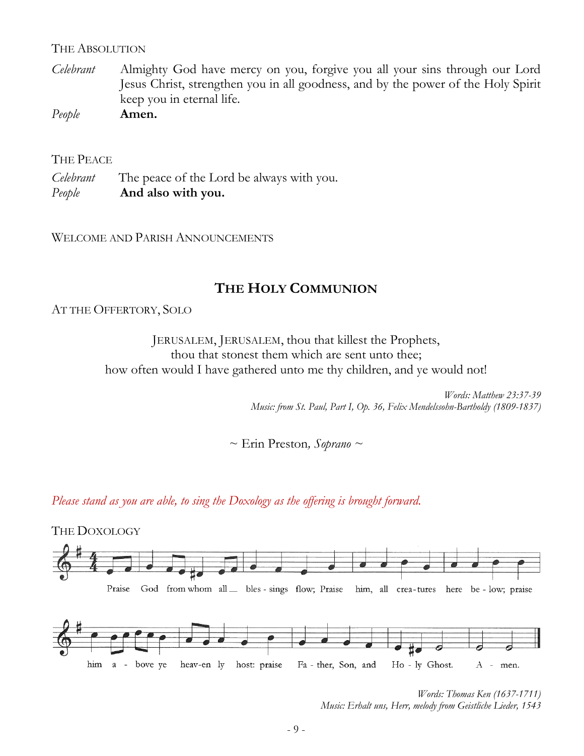#### THE ABSOLUTION

*Celebrant* Almighty God have mercy on you, forgive you all your sins through our Lord Jesus Christ, strengthen you in all goodness, and by the power of the Holy Spirit keep you in eternal life.

*People* **Amen.**

#### THE PEACE

*Celebrant* The peace of the Lord be always with you. *People* **And also with you.**

WELCOME AND PARISH ANNOUNCEMENTS

## **THE HOLY COMMUNION**

#### AT THE OFFERTORY, SOLO

JERUSALEM, JERUSALEM, thou that killest the Prophets, thou that stonest them which are sent unto thee; how often would I have gathered unto me thy children, and ye would not!

> *Words: Matthew 23:37-39 Music: from St. Paul, Part I, Op. 36, Felix Mendelssohn-Bartholdy (1809-1837)*

~ Erin Preston*, Soprano ~*

*Please stand as you are able, to sing the Doxology as the offering is brought forward.*



*Words: Thomas Ken (1637-1711) Music: Erhalt uns, Herr, melody from Geistliche Lieder, 1543*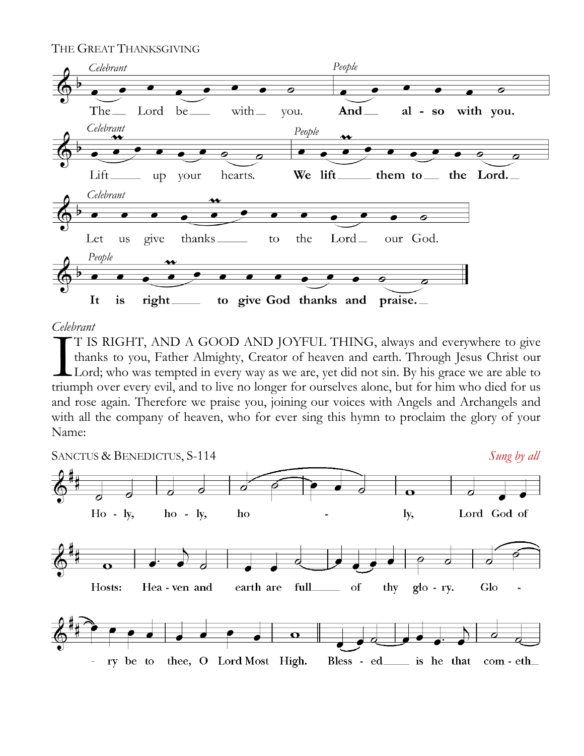

#### *Celebrant*

T IS RIGHT, AND A GOOD AND JOYFUL THING, always and everywhere to give thanks to you, Father Almighty, Creator of heaven and earth. Through Jesus Christ our Lord; who was tempted in every way as we are, yet did not sin. By his grace we are able to T IS RIGHT, AND A GOOD AND JOYFUL THING, always and everywhere to give thanks to you, Father Almighty, Creator of heaven and earth. Through Jesus Christ our Lord; who was tempted in every way as we are, yet did not sin. By and rose again. Therefore we praise you, joining our voices with Angels and Archangels and with all the company of heaven, who for ever sing this hymn to proclaim the glory of your Name:

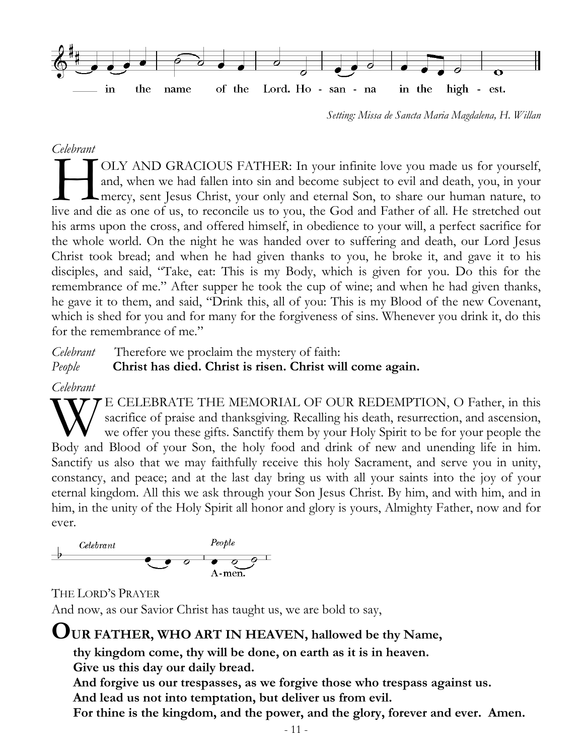

*Setting: Missa de Sancta Maria Magdalena, H. Willan*

*Celebrant*

OLY AND GRACIOUS FATHER: In your infinite love you made us for yourself, and, when we had fallen into sin and become subject to evil and death, you, in your mercy, sent Jesus Christ, your only and eternal Son, to share our human nature, to CERT OLY AND GRACIOUS FATHER: In your infinite love you made us for yourself, and, when we had fallen into sin and become subject to evil and death, you, in your mercy, sent Jesus Christ, your only and eternal Son, to shar his arms upon the cross, and offered himself, in obedience to your will, a perfect sacrifice for the whole world. On the night he was handed over to suffering and death, our Lord Jesus Christ took bread; and when he had given thanks to you, he broke it, and gave it to his disciples, and said, "Take, eat: This is my Body, which is given for you. Do this for the remembrance of me." After supper he took the cup of wine; and when he had given thanks, he gave it to them, and said, "Drink this, all of you: This is my Blood of the new Covenant, which is shed for you and for many for the forgiveness of sins. Whenever you drink it, do this for the remembrance of me."

*Celebrant* Therefore we proclaim the mystery of faith:

## *People* **Christ has died. Christ is risen. Christ will come again.**

*Celebrant*

E CELEBRATE THE MEMORIAL OF OUR REDEMPTION, O Father, in this sacrifice of praise and thanksgiving. Recalling his death, resurrection, and ascension, we offer you these gifts. Sanctify them by your Holy Spirit to be for your people the WE CELEBRATE THE MEMORIAL OF OUR REDEMPTION, O Father, in this sacrifice of praise and thanksgiving. Recalling his death, resurrection, and ascension, we offer you these gifts. Sanctify them by your Holy Spirit to be for y Sanctify us also that we may faithfully receive this holy Sacrament, and serve you in unity, constancy, and peace; and at the last day bring us with all your saints into the joy of your eternal kingdom. All this we ask through your Son Jesus Christ. By him, and with him, and in him, in the unity of the Holy Spirit all honor and glory is yours, Almighty Father, now and for ever.



THE LORD'S PRAYER

And now, as our Savior Christ has taught us, we are bold to say,

## **OUR FATHER, WHO ART IN HEAVEN, hallowed be thy Name,**

**thy kingdom come, thy will be done, on earth as it is in heaven.** 

- **Give us this day our daily bread.**
- **And forgive us our trespasses, as we forgive those who trespass against us.**
- **And lead us not into temptation, but deliver us from evil.**
- **For thine is the kingdom, and the power, and the glory, forever and ever. Amen.**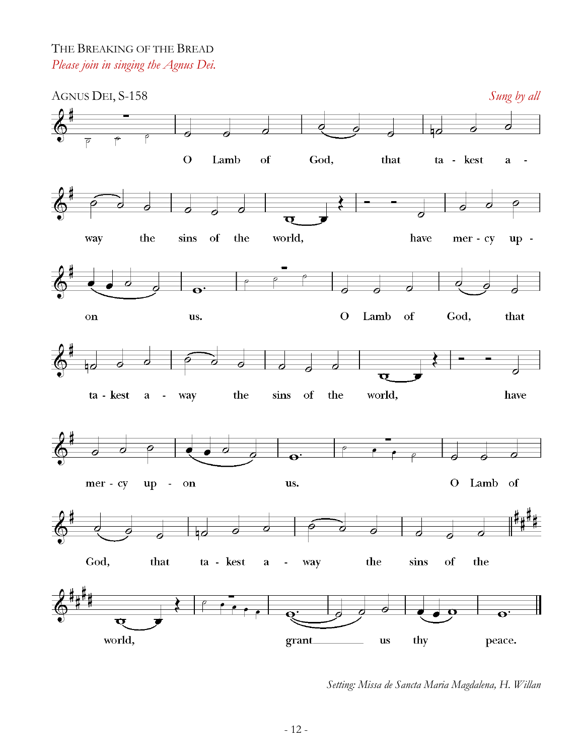

*Setting: Missa de Sancta Maria Magdalena, H. Willan*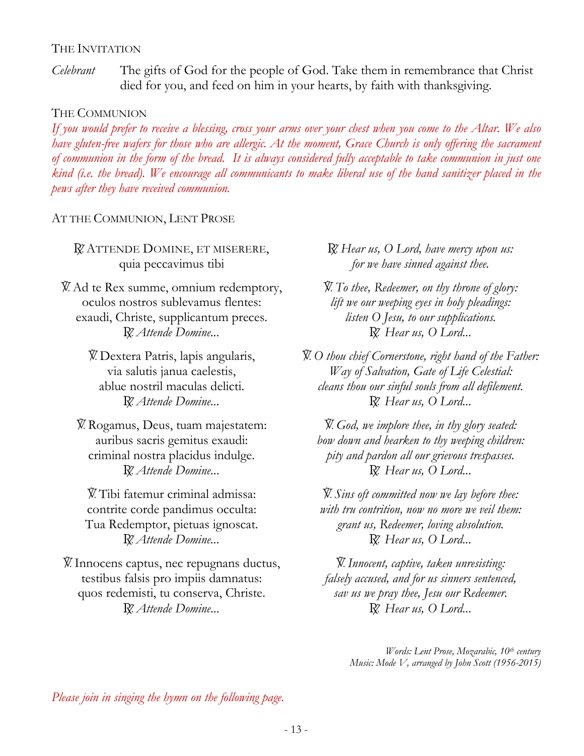#### THE INVITATION

*Celebrant* The gifts of God for the people of God. Take them in remembrance that Christ died for you, and feed on him in your hearts, by faith with thanksgiving.

#### THE COMMUNION

*If you would prefer to receive a blessing, cross your arms over your chest when you come to the Altar. We also have gluten-free wafers for those who are allergic. At the moment, Grace Church is only offering the sacrament of communion in the form of the bread. It is always considered fully acceptable to take communion in just one kind (i.e. the bread). We encourage all communicants to make liberal use of the hand sanitizer placed in the pews after they have received communion.*

#### AT THE COMMUNION, LENT PROSE

R. ATTENDE DOMINE, ET MISERERE, quia peccavimus tibi

V. Ad te Rex summe, omnium redemptory, oculos nostros sublevamus flentes: exaudi, Christe, supplicantum preces. R. *Attende Domine...*

> V. Dextera Patris, lapis angularis, via salutis janua caelestis, ablue nostril maculas delicti. R. *Attende Domine...*

V. Rogamus, Deus, tuam majestatem: auribus sacris gemitus exaudi: criminal nostra placidus indulge. R. *Attende Domine...*

V. Tibi fatemur criminal admissa: contrite corde pandimus occulta: Tua Redemptor, pietuas ignoscat. R. *Attende Domine...*

V. Innocens captus, nec repugnans ductus, testibus falsis pro impiis damnatus: quos redemisti, tu conserva, Christe. R. *Attende Domine...*

R. *Hear us, O Lord, have mercy upon us: for we have sinned against thee.*

V. *To thee, Redeemer, on thy throne of glory: lift we our weeping eyes in holy pleadings: listen O Jesu, to our supplications.* R. *Hear us, O Lord...*

V. *O thou chief Cornerstone, right hand of the Father: Way of Salvation, Gate of Life Celestial: cleans thou our sinful souls from all defilement.* R. *Hear us, O Lord...*

V. *God, we implore thee, in thy glory seated: bow down and hearken to thy weeping children: pity and pardon all our grievous trespasses.* R. *Hear us, O Lord...*

V. *Sins oft committed now we lay before thee: with tru contrition, now no more we veil them: grant us, Redeemer, loving absolution.* R. *Hear us, O Lord...*

V. *Innocent, captive, taken unresisting: falsely accused, and for us sinners sentenced, sav us we pray thee, Jesu our Redeemer.* R. *Hear us, O Lord...*

> *Words: Lent Prose, Mozarabic, 10th century Music: Mode V, arranged by John Scott (1956-2015)*

*Please join in singing the hymn on the following page.*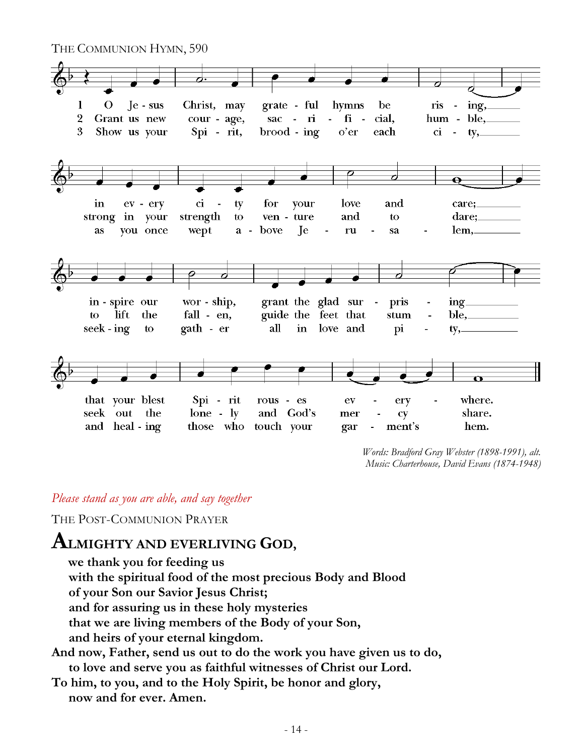THE COMMUNION HYMN, 590



*Words: Bradford Gray Webster (1898-1991), alt. Music: Charterhouse, David Evans (1874-1948)*

#### *Please stand as you are able, and say together*

#### THE POST-COMMUNION PRAYER

## **ALMIGHTY AND EVERLIVING GOD,**

 **we thank you for feeding us with the spiritual food of the most precious Body and Blood of your Son our Savior Jesus Christ; and for assuring us in these holy mysteries that we are living members of the Body of your Son, and heirs of your eternal kingdom. And now, Father, send us out to do the work you have given us to do, to love and serve you as faithful witnesses of Christ our Lord. To him, to you, and to the Holy Spirit, be honor and glory,** 

**now and for ever. Amen.**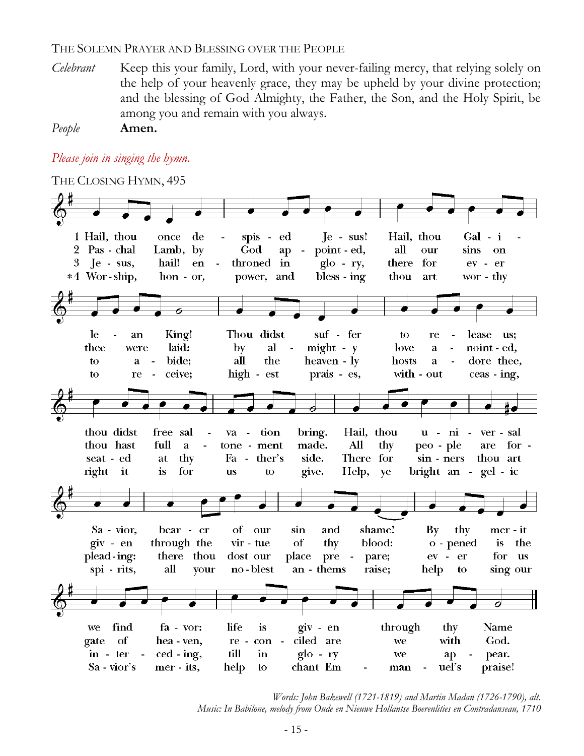#### THE SOLEMN PRAYER AND BLESSING OVER THE PEOPLE

*Celebrant* Keep this your family, Lord, with your never-failing mercy, that relying solely on the help of your heavenly grace, they may be upheld by your divine protection; and the blessing of God Almighty, the Father, the Son, and the Holy Spirit, be among you and remain with you always.

*People* **Amen.**

## *Please join in singing the hymn.*



*Words: John Bakewell (1721-1819) and Martin Madan (1726-1790), alt.*

*Music: In Babilone, melody from Oude en Nieuwe Hollantse Boerenlities en Contradanseau, 1710*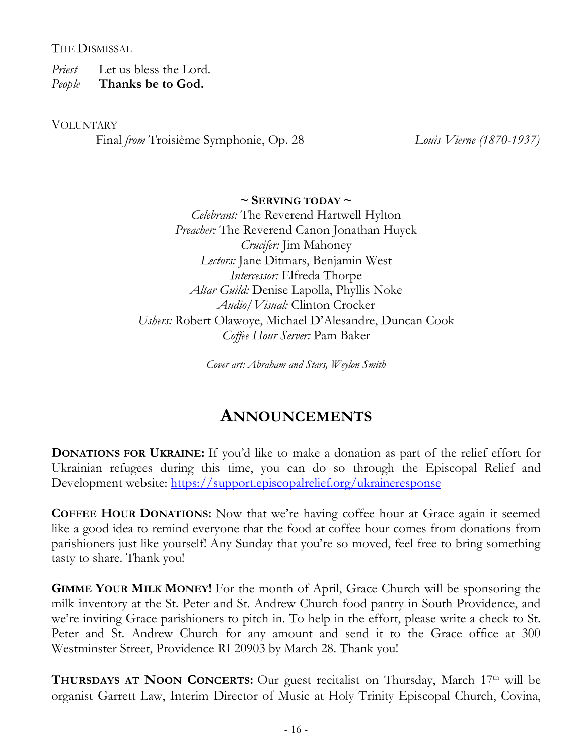THE DISMISSAL

*Priest* Let us bless the Lord.

*People* **Thanks be to God.** 

**VOLUNTARY** 

Final *from* Troisième Symphonie, Op. 28 *Louis Vierne (1870-1937)*

### $\sim$  **SERVING TODAY**  $\sim$

*Celebrant:* The Reverend Hartwell Hylton *Preacher:* The Reverend Canon Jonathan Huyck *Crucifer:* Jim Mahoney *Lectors:* Jane Ditmars, Benjamin West *Intercessor:* Elfreda Thorpe *Altar Guild:* Denise Lapolla, Phyllis Noke *Audio/Visual:* Clinton Crocker *Ushers:* Robert Olawoye, Michael D'Alesandre, Duncan Cook *Coffee Hour Server:* Pam Baker

*Cover art: Abraham and Stars, Weylon Smith*

## **ANNOUNCEMENTS**

**DONATIONS FOR UKRAINE:** If you'd like to make a donation as part of the relief effort for Ukrainian refugees during this time, you can do so through the Episcopal Relief and Development website:<https://support.episcopalrelief.org/ukraineresponse>

**COFFEE HOUR DONATIONS:** Now that we're having coffee hour at Grace again it seemed like a good idea to remind everyone that the food at coffee hour comes from donations from parishioners just like yourself! Any Sunday that you're so moved, feel free to bring something tasty to share. Thank you!

**GIMME YOUR MILK MONEY!** For the month of April, Grace Church will be sponsoring the milk inventory at the St. Peter and St. Andrew Church food pantry in South Providence, and we're inviting Grace parishioners to pitch in. To help in the effort, please write a check to St. Peter and St. Andrew Church for any amount and send it to the Grace office at 300 Westminster Street, Providence RI 20903 by March 28. Thank you!

**THURSDAYS AT NOON CONCERTS:** Our guest recitalist on Thursday, March 17 th will be organist Garrett Law, Interim Director of Music at Holy Trinity Episcopal Church, Covina,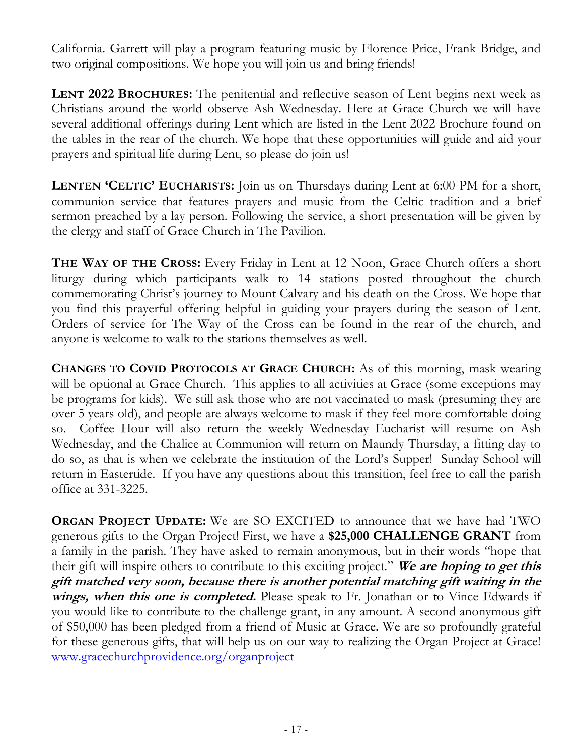California. Garrett will play a program featuring music by Florence Price, Frank Bridge, and two original compositions. We hope you will join us and bring friends!

**LENT 2022 BROCHURES:** The penitential and reflective season of Lent begins next week as Christians around the world observe Ash Wednesday. Here at Grace Church we will have several additional offerings during Lent which are listed in the Lent 2022 Brochure found on the tables in the rear of the church. We hope that these opportunities will guide and aid your prayers and spiritual life during Lent, so please do join us!

**LENTEN 'CELTIC' EUCHARISTS:** Join us on Thursdays during Lent at 6:00 PM for a short, communion service that features prayers and music from the Celtic tradition and a brief sermon preached by a lay person. Following the service, a short presentation will be given by the clergy and staff of Grace Church in The Pavilion.

**THE WAY OF THE CROSS:** Every Friday in Lent at 12 Noon, Grace Church offers a short liturgy during which participants walk to 14 stations posted throughout the church commemorating Christ's journey to Mount Calvary and his death on the Cross. We hope that you find this prayerful offering helpful in guiding your prayers during the season of Lent. Orders of service for The Way of the Cross can be found in the rear of the church, and anyone is welcome to walk to the stations themselves as well.

**CHANGES TO COVID PROTOCOLS AT GRACE CHURCH:** As of this morning, mask wearing will be optional at Grace Church. This applies to all activities at Grace (some exceptions may be programs for kids). We still ask those who are not vaccinated to mask (presuming they are over 5 years old), and people are always welcome to mask if they feel more comfortable doing so. Coffee Hour will also return the weekly Wednesday Eucharist will resume on Ash Wednesday, and the Chalice at Communion will return on Maundy Thursday, a fitting day to do so, as that is when we celebrate the institution of the Lord's Supper! Sunday School will return in Eastertide. If you have any questions about this transition, feel free to call the parish office at 331-3225.

**ORGAN PROJECT UPDATE:** We are SO EXCITED to announce that we have had TWO generous gifts to the Organ Project! First, we have a **\$25,000 CHALLENGE GRANT** from a family in the parish. They have asked to remain anonymous, but in their words "hope that their gift will inspire others to contribute to this exciting project." **We are hoping to get this gift matched very soon, because there is another potential matching gift waiting in the wings, when this one is completed.** Please speak to Fr. Jonathan or to Vince Edwards if you would like to contribute to the challenge grant, in any amount. A second anonymous gift of \$50,000 has been pledged from a friend of Music at Grace. We are so profoundly grateful for these generous gifts, that will help us on our way to realizing the Organ Project at Grace! [www.gracechurchprovidence.org/organproject](http://www.gracechurchprovidence.org/organproject/)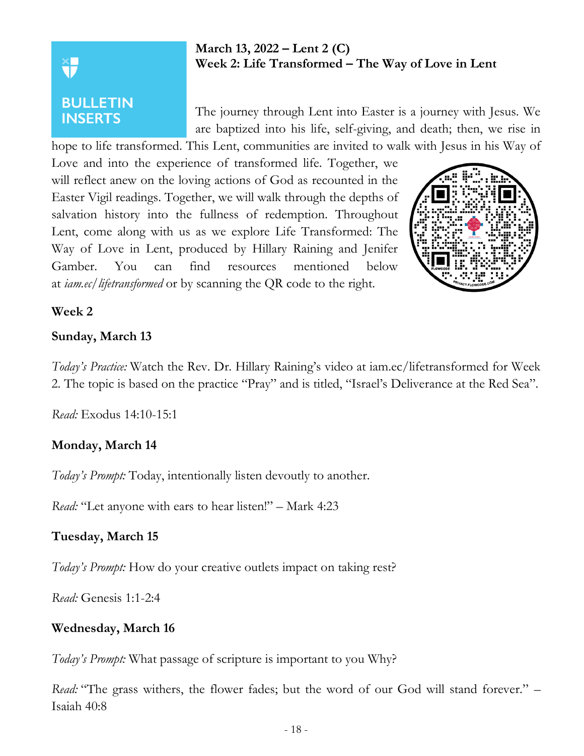## **BULLETIN INSERTS**

**March 13, 2022 – Lent 2 (C) Week 2: Life Transformed – The Way of Love in Lent**

The journey through Lent into Easter is a journey with Jesus. We are baptized into his life, self-giving, and death; then, we rise in

hope to life transformed. This Lent, communities are invited to walk with Jesus in his Way of Love and into the experience of transformed life. Together, we will reflect anew on the loving actions of God as recounted in the Easter Vigil readings. Together, we will walk through the depths of salvation history into the fullness of redemption. Throughout Lent, come along with us as we explore Life Transformed: The Way of Love in Lent, produced by Hillary Raining and Jenifer Gamber. You can find resources mentioned below at *iam.ec/lifetransformed* or by scanning the QR code to the right.



## **Week 2**

### **Sunday, March 13**

*Today's Practice:* Watch the Rev. Dr. Hillary Raining's video at iam.ec/lifetransformed for Week 2. The topic is based on the practice "Pray" and is titled, "Israel's Deliverance at the Red Sea".

*Read:* Exodus 14:10-15:1

## **Monday, March 14**

*Today's Prompt:* Today, intentionally listen devoutly to another.

*Read:* "Let anyone with ears to hear listen!" – Mark 4:23

## **Tuesday, March 15**

*Today's Prompt:* How do your creative outlets impact on taking rest?

*Read:* Genesis 1:1-2:4

## **Wednesday, March 16**

*Today's Prompt:* What passage of scripture is important to you Why?

*Read:* "The grass withers, the flower fades; but the word of our God will stand forever." – Isaiah 40:8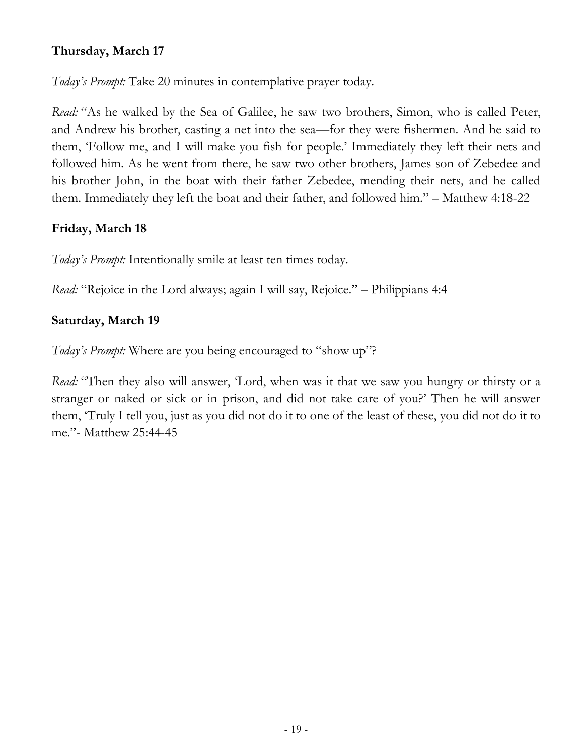## **Thursday, March 17**

*Today's Prompt:* Take 20 minutes in contemplative prayer today.

*Read:* "As he walked by the Sea of Galilee, he saw two brothers, Simon, who is called Peter, and Andrew his brother, casting a net into the sea—for they were fishermen. And he said to them, 'Follow me, and I will make you fish for people.' Immediately they left their nets and followed him. As he went from there, he saw two other brothers, James son of Zebedee and his brother John, in the boat with their father Zebedee, mending their nets, and he called them. Immediately they left the boat and their father, and followed him." – Matthew 4:18-22

## **Friday, March 18**

*Today's Prompt:* Intentionally smile at least ten times today.

*Read:* "Rejoice in the Lord always; again I will say, Rejoice." – Philippians 4:4

### **Saturday, March 19**

*Today's Prompt:* Where are you being encouraged to "show up"?

*Read:* "Then they also will answer, 'Lord, when was it that we saw you hungry or thirsty or a stranger or naked or sick or in prison, and did not take care of you?' Then he will answer them, 'Truly I tell you, just as you did not do it to one of the least of these, you did not do it to me."- Matthew 25:44-45